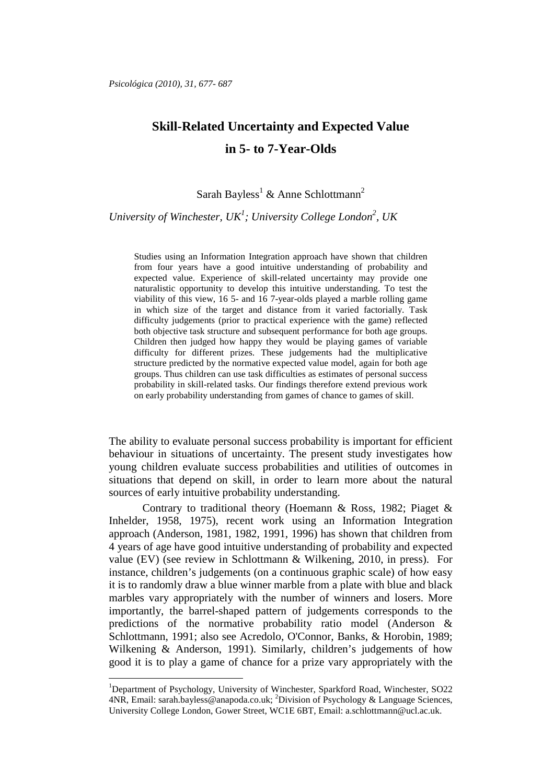# **Skill-Related Uncertainty and Expected Value in 5- to 7-Year-Olds**

## Sarah Bayless<sup>1</sup> & Anne Schlottmann<sup>2</sup>

*University of Winchester, UK<sup>1</sup> ; University College London<sup>2</sup> , UK*

Studies using an Information Integration approach have shown that children from four years have a good intuitive understanding of probability and expected value. Experience of skill-related uncertainty may provide one naturalistic opportunity to develop this intuitive understanding. To test the viability of this view, 16 5- and 16 7-year-olds played a marble rolling game in which size of the target and distance from it varied factorially. Task difficulty judgements (prior to practical experience with the game) reflected both objective task structure and subsequent performance for both age groups. Children then judged how happy they would be playing games of variable difficulty for different prizes. These judgements had the multiplicative structure predicted by the normative expected value model, again for both age groups. Thus children can use task difficulties as estimates of personal success probability in skill-related tasks. Our findings therefore extend previous work on early probability understanding from games of chance to games of skill.

The ability to evaluate personal success probability is important for efficient behaviour in situations of uncertainty. The present study investigates how young children evaluate success probabilities and utilities of outcomes in situations that depend on skill, in order to learn more about the natural sources of early intuitive probability understanding.

Contrary to traditional theory (Hoemann & Ross, 1982; Piaget & Inhelder, 1958, 1975), recent work using an Information Integration approach (Anderson, 1981, 1982, 1991, 1996) has shown that children from 4 years of age have good intuitive understanding of probability and expected value (EV) (see review in Schlottmann & Wilkening, 2010, in press). For instance, children's judgements (on a continuous graphic scale) of how easy it is to randomly draw a blue winner marble from a plate with blue and black marbles vary appropriately with the number of winners and losers. More importantly, the barrel-shaped pattern of judgements corresponds to the predictions of the normative probability ratio model (Anderson & Schlottmann, 1991; also see Acredolo, O'Connor, Banks, & Horobin, 1989; Wilkening & Anderson, 1991). Similarly, children's judgements of how good it is to play a game of chance for a prize vary appropriately with the

<sup>1</sup>Department of Psychology, University of Winchester, Sparkford Road, Winchester, SO22 4NR, Email: sarah.bayless@anapoda.co.uk; <sup>2</sup>Division of Psychology & Language Sciences, University College London, Gower Street, WC1E 6BT, Email: a.schlottmann@ucl.ac.uk.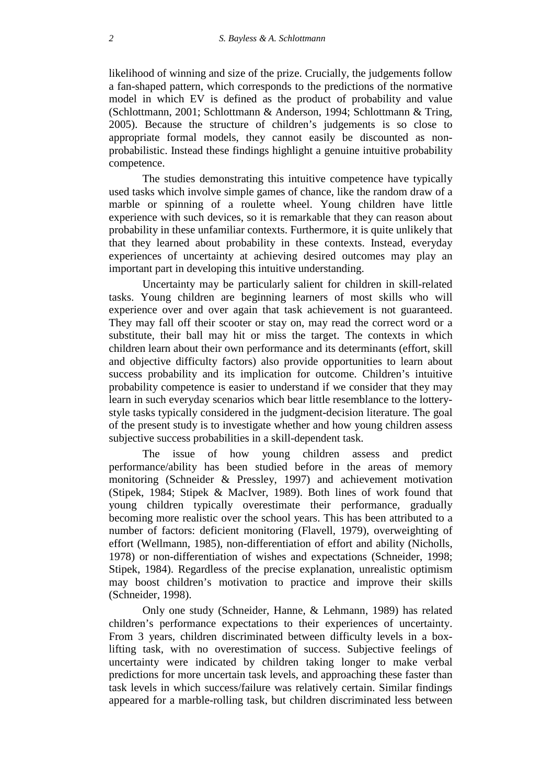likelihood of winning and size of the prize. Crucially, the judgements follow a fan-shaped pattern, which corresponds to the predictions of the normative model in which EV is defined as the product of probability and value (Schlottmann, 2001; Schlottmann & Anderson, 1994; Schlottmann & Tring, 2005). Because the structure of children's judgements is so close to appropriate formal models, they cannot easily be discounted as nonprobabilistic. Instead these findings highlight a genuine intuitive probability competence.

The studies demonstrating this intuitive competence have typically used tasks which involve simple games of chance, like the random draw of a marble or spinning of a roulette wheel. Young children have little experience with such devices, so it is remarkable that they can reason about probability in these unfamiliar contexts. Furthermore, it is quite unlikely that that they learned about probability in these contexts. Instead, everyday experiences of uncertainty at achieving desired outcomes may play an important part in developing this intuitive understanding.

Uncertainty may be particularly salient for children in skill-related tasks. Young children are beginning learners of most skills who will experience over and over again that task achievement is not guaranteed. They may fall off their scooter or stay on, may read the correct word or a substitute, their ball may hit or miss the target. The contexts in which children learn about their own performance and its determinants (effort, skill and objective difficulty factors) also provide opportunities to learn about success probability and its implication for outcome. Children's intuitive probability competence is easier to understand if we consider that they may learn in such everyday scenarios which bear little resemblance to the lotterystyle tasks typically considered in the judgment-decision literature. The goal of the present study is to investigate whether and how young children assess subjective success probabilities in a skill-dependent task.

The issue of how young children assess and predict performance/ability has been studied before in the areas of memory monitoring (Schneider & Pressley, 1997) and achievement motivation (Stipek, 1984; Stipek & MacIver, 1989). Both lines of work found that young children typically overestimate their performance, gradually becoming more realistic over the school years. This has been attributed to a number of factors: deficient monitoring (Flavell, 1979), overweighting of effort (Wellmann, 1985), non-differentiation of effort and ability (Nicholls, 1978) or non-differentiation of wishes and expectations (Schneider, 1998; Stipek, 1984). Regardless of the precise explanation, unrealistic optimism may boost children's motivation to practice and improve their skills (Schneider, 1998).

Only one study (Schneider, Hanne, & Lehmann, 1989) has related children's performance expectations to their experiences of uncertainty. From 3 years, children discriminated between difficulty levels in a boxlifting task, with no overestimation of success. Subjective feelings of uncertainty were indicated by children taking longer to make verbal predictions for more uncertain task levels, and approaching these faster than task levels in which success/failure was relatively certain. Similar findings appeared for a marble-rolling task, but children discriminated less between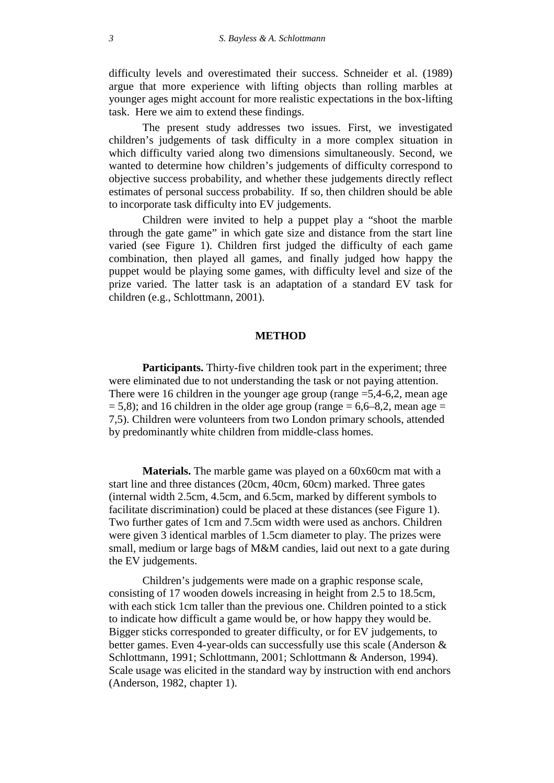difficulty levels and overestimated their success. Schneider et al. (1989) argue that more experience with lifting objects than rolling marbles at younger ages might account for more realistic expectations in the box-lifting task. Here we aim to extend these findings.

The present study addresses two issues. First, we investigated children's judgements of task difficulty in a more complex situation in which difficulty varied along two dimensions simultaneously. Second, we wanted to determine how children's judgements of difficulty correspond to objective success probability, and whether these judgements directly reflect estimates of personal success probability. If so, then children should be able to incorporate task difficulty into EV judgements.

Children were invited to help a puppet play a "shoot the marble through the gate game" in which gate size and distance from the start line varied (see Figure 1). Children first judged the difficulty of each game combination, then played all games, and finally judged how happy the puppet would be playing some games, with difficulty level and size of the prize varied. The latter task is an adaptation of a standard EV task for children (e.g., Schlottmann, 2001).

### **METHOD**

**Participants.** Thirty-five children took part in the experiment; three were eliminated due to not understanding the task or not paying attention. There were 16 children in the younger age group (range  $=$  5,4-6,2, mean age  $= 5.8$ ); and 16 children in the older age group (range  $= 6.6-8.2$ , mean age  $=$ 7,5). Children were volunteers from two London primary schools, attended by predominantly white children from middle-class homes.

**Materials.** The marble game was played on a 60x60cm mat with a start line and three distances (20cm, 40cm, 60cm) marked. Three gates (internal width 2.5cm, 4.5cm, and 6.5cm, marked by different symbols to facilitate discrimination) could be placed at these distances (see Figure 1). Two further gates of 1cm and 7.5cm width were used as anchors. Children were given 3 identical marbles of 1.5cm diameter to play. The prizes were small, medium or large bags of M&M candies, laid out next to a gate during the EV judgements.

Children's judgements were made on a graphic response scale, consisting of 17 wooden dowels increasing in height from 2.5 to 18.5cm, with each stick 1cm taller than the previous one. Children pointed to a stick to indicate how difficult a game would be, or how happy they would be. Bigger sticks corresponded to greater difficulty, or for EV judgements, to better games. Even 4-year-olds can successfully use this scale (Anderson & Schlottmann, 1991; Schlottmann, 2001; Schlottmann & Anderson, 1994). Scale usage was elicited in the standard way by instruction with end anchors (Anderson, 1982, chapter 1).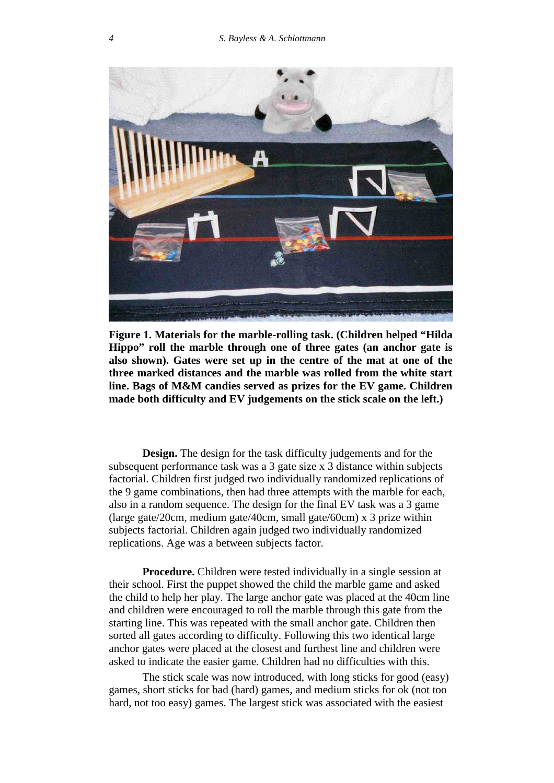

**Figure 1. Materials for the marble-rolling task. (Children helped "Hilda Hippo" roll the marble through one of three gates (an anchor gate is also shown). Gates were set up in the centre of the mat at one of the three marked distances and the marble was rolled from the white start line. Bags of M&M candies served as prizes for the EV game. Children made both difficulty and EV judgements on the stick scale on the left.)**

**Design.** The design for the task difficulty judgements and for the subsequent performance task was a 3 gate size x 3 distance within subjects factorial. Children first judged two individually randomized replications of the 9 game combinations, then had three attempts with the marble for each, also in a random sequence. The design for the final EV task was a 3 game (large gate/20cm, medium gate/40cm, small gate/60cm) x 3 prize within subjects factorial. Children again judged two individually randomized replications. Age was a between subjects factor.

**Procedure.** Children were tested individually in a single session at their school. First the puppet showed the child the marble game and asked the child to help her play. The large anchor gate was placed at the 40cm line and children were encouraged to roll the marble through this gate from the starting line. This was repeated with the small anchor gate. Children then sorted all gates according to difficulty. Following this two identical large anchor gates were placed at the closest and furthest line and children were asked to indicate the easier game. Children had no difficulties with this.

The stick scale was now introduced, with long sticks for good (easy) games, short sticks for bad (hard) games, and medium sticks for ok (not too hard, not too easy) games. The largest stick was associated with the easiest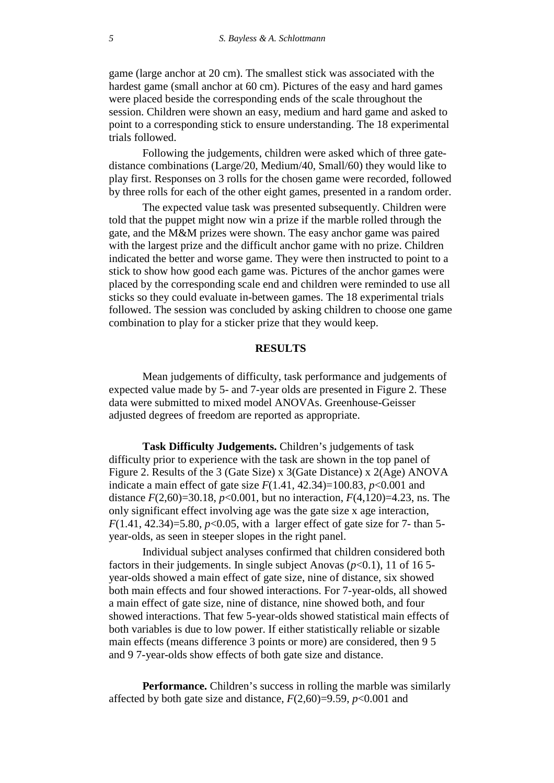game (large anchor at 20 cm). The smallest stick was associated with the hardest game (small anchor at 60 cm). Pictures of the easy and hard games were placed beside the corresponding ends of the scale throughout the session. Children were shown an easy, medium and hard game and asked to point to a corresponding stick to ensure understanding. The 18 experimental trials followed.

Following the judgements, children were asked which of three gatedistance combinations (Large/20, Medium/40, Small/60) they would like to play first. Responses on 3 rolls for the chosen game were recorded, followed by three rolls for each of the other eight games, presented in a random order.

The expected value task was presented subsequently. Children were told that the puppet might now win a prize if the marble rolled through the gate, and the M&M prizes were shown. The easy anchor game was paired with the largest prize and the difficult anchor game with no prize. Children indicated the better and worse game. They were then instructed to point to a stick to show how good each game was. Pictures of the anchor games were placed by the corresponding scale end and children were reminded to use all sticks so they could evaluate in-between games. The 18 experimental trials followed. The session was concluded by asking children to choose one game combination to play for a sticker prize that they would keep.

### **RESULTS**

Mean judgements of difficulty, task performance and judgements of expected value made by 5- and 7-year olds are presented in Figure 2. These data were submitted to mixed model ANOVAs. Greenhouse-Geisser adjusted degrees of freedom are reported as appropriate.

**Task Difficulty Judgements.** Children's judgements of task difficulty prior to experience with the task are shown in the top panel of Figure 2. Results of the 3 (Gate Size) x 3(Gate Distance) x 2(Age) ANOVA indicate a main effect of gate size  $F(1.41, 42.34)=100.83$ ,  $p<0.001$  and distance  $F(2,60)=30.18$ ,  $p<0.001$ , but no interaction,  $F(4,120)=4.23$ , ns. The only significant effect involving age was the gate size x age interaction, *F*(1.41, 42.34)=5.80, *p*<0.05, with a larger effect of gate size for 7- than 5year-olds, as seen in steeper slopes in the right panel.

Individual subject analyses confirmed that children considered both factors in their judgements. In single subject Anovas  $(p<0.1)$ , 11 of 16 5year-olds showed a main effect of gate size, nine of distance, six showed both main effects and four showed interactions. For 7-year-olds, all showed a main effect of gate size, nine of distance, nine showed both, and four showed interactions. That few 5-year-olds showed statistical main effects of both variables is due to low power. If either statistically reliable or sizable main effects (means difference 3 points or more) are considered, then 9 5 and 9 7-year-olds show effects of both gate size and distance.

**Performance.** Children's success in rolling the marble was similarly affected by both gate size and distance,  $F(2,60)=9.59$ ,  $p<0.001$  and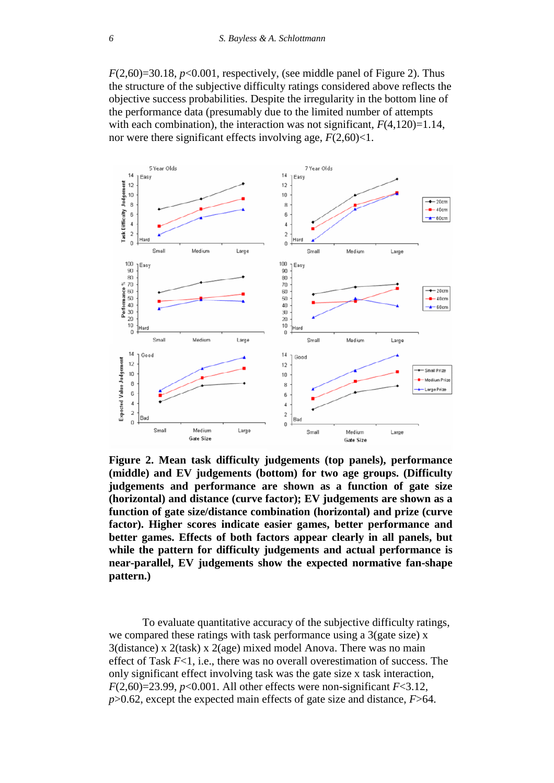$F(2,60)=30.18$ ,  $p<0.001$ , respectively, (see middle panel of Figure 2). Thus the structure of the subjective difficulty ratings considered above reflects the objective success probabilities. Despite the irregularity in the bottom line of the performance data (presumably due to the limited number of attempts with each combination), the interaction was not significant,  $F(4,120)=1.14$ , nor were there significant effects involving age,  $F(2,60)$  < 1.



**Figure 2. Mean task difficulty judgements (top panels), performance (middle) and EV judgements (bottom) for two age groups. (Difficulty judgements and performance are shown as a function of gate size (horizontal) and distance (curve factor); EV judgements are shown as a function of gate size/distance combination (horizontal) and prize (curve factor). Higher scores indicate easier games, better performance and better games. Effects of both factors appear clearly in all panels, but while the pattern for difficulty judgements and actual performance is near-parallel, EV judgements show the expected normative fan-shape pattern.)**

To evaluate quantitative accuracy of the subjective difficulty ratings, we compared these ratings with task performance using a 3(gate size) x 3(distance) x 2(task) x 2(age) mixed model Anova. There was no main effect of Task *F*<1, i.e., there was no overall overestimation of success. The only significant effect involving task was the gate size x task interaction,  $F(2,60)=23.99$ ,  $p<0.001$ . All other effects were non-significant  $F<3.12$ , *p*>0.62, except the expected main effects of gate size and distance, *F*>64.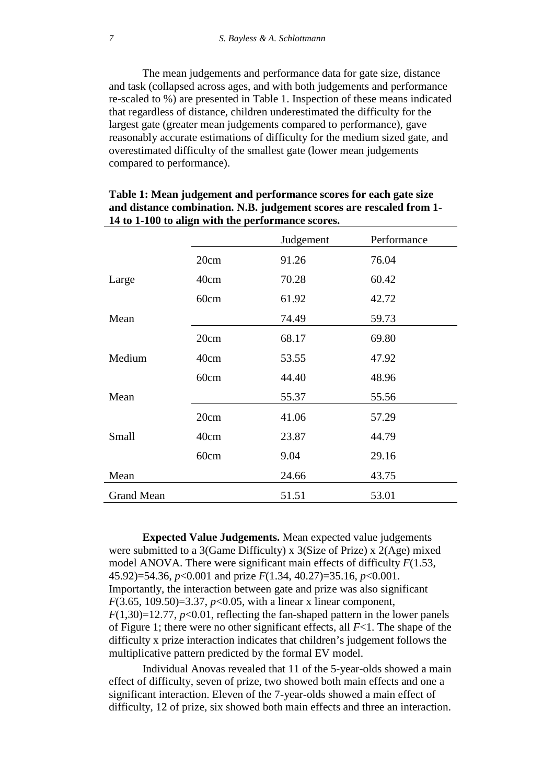The mean judgements and performance data for gate size, distance and task (collapsed across ages, and with both judgements and performance re-scaled to %) are presented in Table 1. Inspection of these means indicated that regardless of distance, children underestimated the difficulty for the largest gate (greater mean judgements compared to performance), gave reasonably accurate estimations of difficulty for the medium sized gate, and overestimated difficulty of the smallest gate (lower mean judgements compared to performance).

|                   |      | Judgement | Performance |
|-------------------|------|-----------|-------------|
|                   | 20cm | 91.26     | 76.04       |
| Large             | 40cm | 70.28     | 60.42       |
|                   | 60cm | 61.92     | 42.72       |
| Mean              |      | 74.49     | 59.73       |
|                   | 20cm | 68.17     | 69.80       |
| Medium            | 40cm | 53.55     | 47.92       |
|                   | 60cm | 44.40     | 48.96       |
| Mean              |      | 55.37     | 55.56       |
|                   | 20cm | 41.06     | 57.29       |
| Small             | 40cm | 23.87     | 44.79       |
|                   | 60cm | 9.04      | 29.16       |
| Mean              |      | 24.66     | 43.75       |
| <b>Grand Mean</b> |      | 51.51     | 53.01       |

| Table 1: Mean judgement and performance scores for each gate size    |
|----------------------------------------------------------------------|
| and distance combination. N.B. judgement scores are rescaled from 1- |
| 14 to 1-100 to align with the performance scores.                    |

**Expected Value Judgements.** Mean expected value judgements were submitted to a 3(Game Difficulty) x 3(Size of Prize) x 2(Age) mixed model ANOVA. There were significant main effects of difficulty *F*(1.53, 45.92)=54.36, *p*<0.001 and prize *F*(1.34, 40.27)=35.16, *p*<0.001. Importantly, the interaction between gate and prize was also significant *F*(3.65, 109.50)=3.37, *p*<0.05, with a linear x linear component,  $F(1,30)=12.77$ ,  $p<0.01$ , reflecting the fan-shaped pattern in the lower panels of Figure 1; there were no other significant effects, all *F*<1. The shape of the difficulty x prize interaction indicates that children's judgement follows the multiplicative pattern predicted by the formal EV model.

Individual Anovas revealed that 11 of the 5-year-olds showed a main effect of difficulty, seven of prize, two showed both main effects and one a significant interaction. Eleven of the 7-year-olds showed a main effect of difficulty, 12 of prize, six showed both main effects and three an interaction.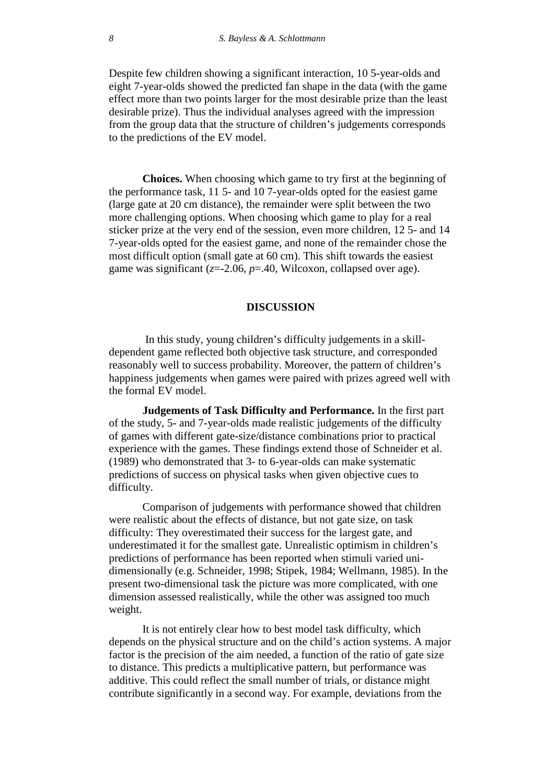Despite few children showing a significant interaction, 10 5-year-olds and eight 7-year-olds showed the predicted fan shape in the data (with the game effect more than two points larger for the most desirable prize than the least desirable prize). Thus the individual analyses agreed with the impression from the group data that the structure of children's judgements corresponds to the predictions of the EV model.

**Choices.** When choosing which game to try first at the beginning of the performance task, 11 5- and 10 7-year-olds opted for the easiest game (large gate at 20 cm distance), the remainder were split between the two more challenging options. When choosing which game to play for a real sticker prize at the very end of the session, even more children, 12 5- and 14 7-year-olds opted for the easiest game, and none of the remainder chose the most difficult option (small gate at 60 cm). This shift towards the easiest game was significant (*z*=-2.06, *p*=.40, Wilcoxon, collapsed over age).

#### **DISCUSSION**

In this study, young children's difficulty judgements in a skilldependent game reflected both objective task structure, and corresponded reasonably well to success probability. Moreover, the pattern of children's happiness judgements when games were paired with prizes agreed well with the formal EV model.

**Judgements of Task Difficulty and Performance.** In the first part of the study, 5- and 7-year-olds made realistic judgements of the difficulty of games with different gate-size/distance combinations prior to practical experience with the games. These findings extend those of Schneider et al. (1989) who demonstrated that 3- to 6-year-olds can make systematic predictions of success on physical tasks when given objective cues to difficulty.

Comparison of judgements with performance showed that children were realistic about the effects of distance, but not gate size, on task difficulty: They overestimated their success for the largest gate, and underestimated it for the smallest gate. Unrealistic optimism in children's predictions of performance has been reported when stimuli varied unidimensionally (e.g. Schneider, 1998; Stipek, 1984; Wellmann, 1985). In the present two-dimensional task the picture was more complicated, with one dimension assessed realistically, while the other was assigned too much weight.

It is not entirely clear how to best model task difficulty, which depends on the physical structure and on the child's action systems. A major factor is the precision of the aim needed, a function of the ratio of gate size to distance. This predicts a multiplicative pattern, but performance was additive. This could reflect the small number of trials, or distance might contribute significantly in a second way. For example, deviations from the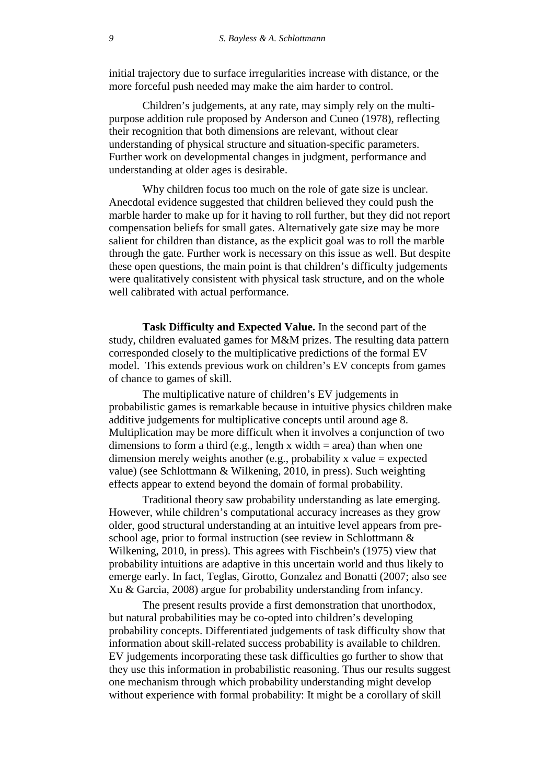initial trajectory due to surface irregularities increase with distance, or the more forceful push needed may make the aim harder to control.

Children's judgements, at any rate, may simply rely on the multipurpose addition rule proposed by Anderson and Cuneo (1978), reflecting their recognition that both dimensions are relevant, without clear understanding of physical structure and situation-specific parameters. Further work on developmental changes in judgment, performance and understanding at older ages is desirable.

Why children focus too much on the role of gate size is unclear. Anecdotal evidence suggested that children believed they could push the marble harder to make up for it having to roll further, but they did not report compensation beliefs for small gates. Alternatively gate size may be more salient for children than distance, as the explicit goal was to roll the marble through the gate. Further work is necessary on this issue as well. But despite these open questions, the main point is that children's difficulty judgements were qualitatively consistent with physical task structure, and on the whole well calibrated with actual performance.

**Task Difficulty and Expected Value.** In the second part of the study, children evaluated games for M&M prizes. The resulting data pattern corresponded closely to the multiplicative predictions of the formal EV model. This extends previous work on children's EV concepts from games of chance to games of skill.

The multiplicative nature of children's EV judgements in probabilistic games is remarkable because in intuitive physics children make additive judgements for multiplicative concepts until around age 8. Multiplication may be more difficult when it involves a conjunction of two dimensions to form a third (e.g., length x width  $=$  area) than when one dimension merely weights another (e.g., probability x value  $=$  expected value) (see Schlottmann & Wilkening, 2010, in press). Such weighting effects appear to extend beyond the domain of formal probability.

Traditional theory saw probability understanding as late emerging. However, while children's computational accuracy increases as they grow older, good structural understanding at an intuitive level appears from preschool age, prior to formal instruction (see review in Schlottmann & Wilkening, 2010, in press). This agrees with Fischbein's (1975) view that probability intuitions are adaptive in this uncertain world and thus likely to emerge early. In fact, Teglas, Girotto, Gonzalez and Bonatti (2007; also see Xu & Garcia, 2008) argue for probability understanding from infancy.

The present results provide a first demonstration that unorthodox, but natural probabilities may be co-opted into children's developing probability concepts. Differentiated judgements of task difficulty show that information about skill-related success probability is available to children. EV judgements incorporating these task difficulties go further to show that they use this information in probabilistic reasoning. Thus our results suggest one mechanism through which probability understanding might develop without experience with formal probability: It might be a corollary of skill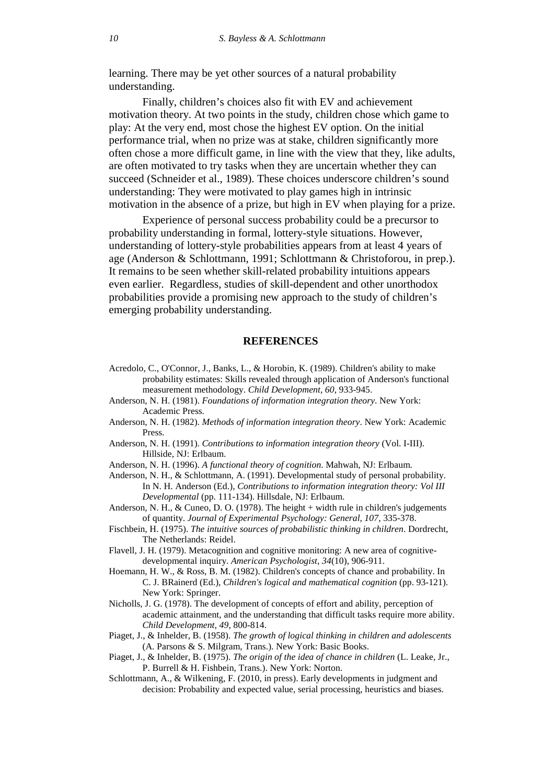learning. There may be yet other sources of a natural probability understanding.

Finally, children's choices also fit with EV and achievement motivation theory. At two points in the study, children chose which game to play: At the very end, most chose the highest EV option. On the initial performance trial, when no prize was at stake, children significantly more often chose a more difficult game, in line with the view that they, like adults, are often motivated to try tasks when they are uncertain whether they can succeed (Schneider et al., 1989). These choices underscore children's sound understanding: They were motivated to play games high in intrinsic motivation in the absence of a prize, but high in EV when playing for a prize.

Experience of personal success probability could be a precursor to probability understanding in formal, lottery-style situations. However, understanding of lottery-style probabilities appears from at least 4 years of age (Anderson & Schlottmann, 1991; Schlottmann & Christoforou, in prep.). It remains to be seen whether skill-related probability intuitions appears even earlier. Regardless, studies of skill-dependent and other unorthodox probabilities provide a promising new approach to the study of children's emerging probability understanding.

### **REFERENCES**

- Acredolo, C., O'Connor, J., Banks, L., & Horobin, K. (1989). Children's ability to make probability estimates: Skills revealed through application of Anderson's functional measurement methodology. *Child Development, 60*, 933-945.
- Anderson, N. H. (1981). *Foundations of information integration theory*. New York: Academic Press.
- Anderson, N. H. (1982). *Methods of information integration theory*. New York: Academic Press.
- Anderson, N. H. (1991). *Contributions to information integration theory* (Vol. I-III). Hillside, NJ: Erlbaum.
- Anderson, N. H. (1996). *A functional theory of cognition*. Mahwah, NJ: Erlbaum.
- Anderson, N. H., & Schlottmann, A. (1991). Developmental study of personal probability. In N. H. Anderson (Ed.), *Contributions to information integration theory: Vol III Developmental* (pp. 111-134). Hillsdale, NJ: Erlbaum.
- Anderson, N. H., & Cuneo, D. O. (1978). The height  $+$  width rule in children's judgements of quantity. *Journal of Experimental Psychology: General, 107*, 335-378.
- Fischbein, H. (1975). *The intuitive sources of probabilistic thinking in children*. Dordrecht, The Netherlands: Reidel.
- Flavell, J. H. (1979). Metacognition and cognitive monitoring: A new area of cognitivedevelopmental inquiry. *American Psychologist, 34*(10), 906-911.
- Hoemann, H. W., & Ross, B. M. (1982). Children's concepts of chance and probability. In C. J. BRainerd (Ed.), *Children's logical and mathematical cognition* (pp. 93-121). New York: Springer.
- Nicholls, J. G. (1978). The development of concepts of effort and ability, perception of academic attainment, and the understanding that difficult tasks require more ability. *Child Development, 49*, 800-814.
- Piaget, J., & Inhelder, B. (1958). *The growth of logical thinking in children and adolescents* (A. Parsons & S. Milgram, Trans.). New York: Basic Books.
- Piaget, J., & Inhelder, B. (1975). *The origin of the idea of chance in children* (L. Leake, Jr., P. Burrell & H. Fishbein, Trans.). New York: Norton.
- Schlottmann, A., & Wilkening, F. (2010, in press). Early developments in judgment and decision: Probability and expected value, serial processing, heuristics and biases.